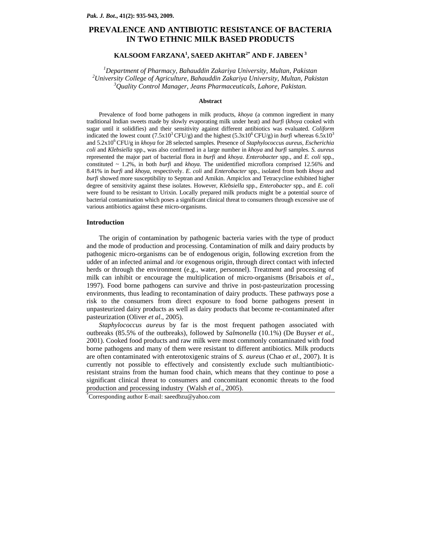# **PREVALENCE AND ANTIBIOTIC RESISTANCE OF BACTERIA IN TWO ETHNIC MILK BASED PRODUCTS**

# **KALSOOM FARZANA<sup>1</sup> , SAEED AKHTAR2\* AND F. JABEEN 3**

<sup>1</sup> Department of Pharmacy, Bahauddin Zakariya University, Multan, Pakistan <sup>2</sup> University College of Agriculture, Pakistan <sup>2</sup> *University College of Agriculture, Bahauddin Zakariya University, Multan, Pakistan 3 Quality Control Manager, Jeans Pharmaceuticals, Lahore, Pakistan.* 

## **Abstract**

Prevalence of food borne pathogens in milk products, *khoya* (a common ingredient in many traditional Indian sweets made by slowly evaporating milk under heat) and *burfi* (*khoya* cooked with sugar until it solidifies) and their sensitivity against different antibiotics was evaluated. *Coliform* indicated the lowest count  $(7.5x10^3 \text{ CFU/g})$  and the highest  $(5.3x10^6 \text{ CFU/g})$  in *burfi* whereas  $6.5x10^3$ and 5.2x106 CFU/g in *khoya* for 28 selected samples. Presence of *Staphylococcus aureus, Escherichia coli* and *Klebsiella* spp., was also confirmed in a large number in *khoya* and *burfi* samples. *S. aureus* represented the major part of bacterial flora in *burfi* and *khoya*. *Enterobacter* spp*.*, and *E. coli* spp., constituted ~ 1.2%, in both *burfi* and *khoya*. The unidentified microflora comprised 12.56% and 8.41% in *burfi* and *khoya*, respectively. *E. coli* and *Enterobacter* spp*.*, isolated from both *khoya* and *burfi* showed more susceptibility to Septran and Amikin. Ampiclox and Tetracycline exhibited higher degree of sensitivity against these isolates. However, *Klebsiella* spp*.*, *Enterobacter* spp*.*, and *E. coli* were found to be resistant to Urixin. Locally prepared milk products might be a potential source of bacterial contamination which poses a significant clinical threat to consumers through excessive use of various antibiotics against these micro-organisms.

#### **Introduction**

The origin of contamination by pathogenic bacteria varies with the type of product and the mode of production and processing. Contamination of milk and dairy products by pathogenic micro-organisms can be of endogenous origin, following excretion from the udder of an infected animal and /or exogenous origin, through direct contact with infected herds or through the environment (e.g., water, personnel). Treatment and processing of milk can inhibit or encourage the multiplication of micro-organisms (Brisabois *et al*., 1997). Food borne pathogens can survive and thrive in post-pasteurization processing environments, thus leading to recontamination of dairy products. These pathways pose a risk to the consumers from direct exposure to food borne pathogens present in unpasteurized dairy products as well as dairy products that become re-contaminated after pasteurization (Oliver *et al*., 2005).

*Staphylococcus aureus* by far is the most frequent pathogen associated with outbreaks (85.5% of the outbreaks), followed by *Salmonella* (10.1%) (De Buyser *et al.,* 2001). Cooked food products and raw milk were most commonly contaminated with food borne pathogens and many of them were resistant to different antibiotics. Milk products are often contaminated with enterotoxigenic strains of *S. aureus* (Chao *et al*., 2007). It is currently not possible to effectively and consistently exclude such multiantibioticresistant strains from the human food chain, which means that they continue to pose a significant clinical threat to consumers and concomitant economic threats to the food production and processing industry (Walsh *et al*., 2005). \*

Corresponding author E-mail: saeedbzu@yahoo.com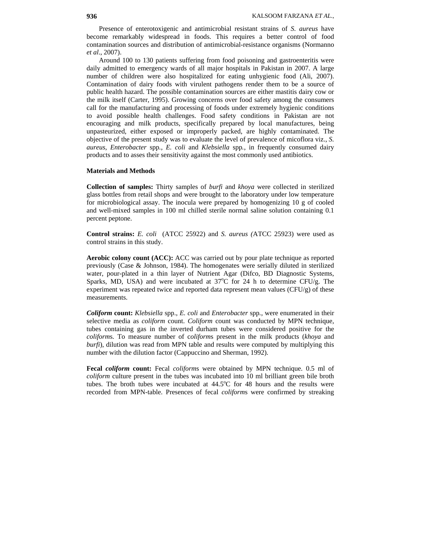Presence of enterotoxigenic and antimicrobial resistant strains of *S. aureus* have become remarkably widespread in foods. This requires a better control of food contamination sources and distribution of antimicrobial-resistance organisms (Normanno *et al*., 2007).

Around 100 to 130 patients suffering from food poisoning and gastroenteritis were daily admitted to emergency wards of all major hospitals in Pakistan in 2007. A large number of children were also hospitalized for eating unhygienic food (Ali, 2007). Contamination of dairy foods with virulent pathogens render them to be a source of public health hazard. The possible contamination sources are either mastitis dairy cow or the milk itself (Carter, 1995). Growing concerns over food safety among the consumers call for the manufacturing and processing of foods under extremely hygienic conditions to avoid possible health challenges. Food safety conditions in Pakistan are not encouraging and milk products, specifically prepared by local manufactures, being unpasteurized, either exposed or improperly packed, are highly contaminated. The objective of the present study was to evaluate the level of prevalence of micoflora viz., *S. aureus*, *Enterobacter* spp*., E. coli* and *Klebsiella* spp*.*, in frequently consumed dairy products and to asses their sensitivity against the most commonly used antibiotics.

### **Materials and Methods**

**Collection of samples:** Thirty samples of *burfi* and *khoya* were collected in sterilized glass bottles from retail shops and were brought to the laboratory under low temperature for microbiological assay. The inocula were prepared by homogenizing 10 g of cooled and well-mixed samples in 100 ml chilled sterile normal saline solution containing 0.1 percent peptone.

**Control strains:** *E. coli* (ATCC 25922) and *S. aureus (*ATCC 25923) were used as control strains in this study.

**Aerobic colony count (ACC):** ACC was carried out by pour plate technique as reported previously (Case & Johnson, 1984). The homogenates were serially diluted in sterilized water, pour-plated in a thin layer of Nutrient Agar (Difco, BD Diagnostic Systems, Sparks, MD, USA) and were incubated at  $37^{\circ}$ C for 24 h to determine CFU/g. The experiment was repeated twice and reported data represent mean values  $(CFU/g)$  of these measurements.

*Coliform* **count:** *Klebsiella* spp., *E. coli* and *Enterobacter* spp*.*, were enumerated in their selective media as *coliform* count. *Coliform* count was conducted by MPN technique, tubes containing gas in the inverted durham tubes were considered positive for the *coliform*s. To measure number of c*oliform*s present in the milk products (*khoya* and *burfi*), dilution was read from MPN table and results were computed by multiplying this number with the dilution factor (Cappuccino and Sherman, 1992).

**Fecal** *coliform* **count:** Fecal *coliform*s were obtained by MPN technique. 0.5 ml of *coliform* culture present in the tubes was incubated into 10 ml brilliant green bile broth tubes. The broth tubes were incubated at  $44.5^{\circ}$ C for 48 hours and the results were recorded from MPN-table. Presences of fecal *coliform*s were confirmed by streaking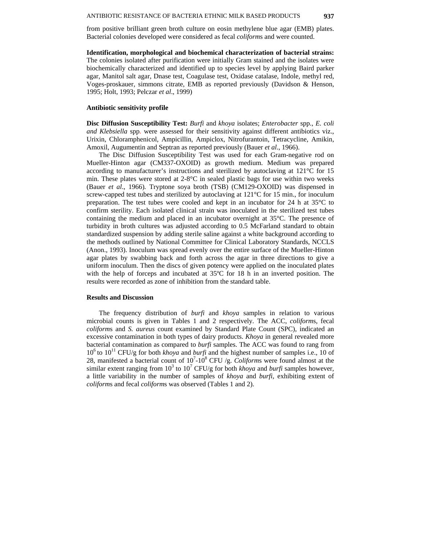from positive brilliant green broth culture on eosin methylene blue agar (EMB) plates. Bacterial colonies developed were considered as fecal *coliform*s and were counted.

**Identification, morphological and biochemical characterization of bacterial strains:** The colonies isolated after purification were initially Gram stained and the isolates were biochemically characterized and identified up to species level by applying Baird parker agar, Manitol salt agar, Dnase test, Coagulase test, Oxidase catalase, Indole, methyl red, Voges-proskauer, simmons citrate, EMB as reported previously (Davidson & Henson, 1995; Holt, 1993; Pelczar *et al*., 1999)

#### **Antibiotic sensitivity profile**

**Disc Diffusion Susceptibility Test:** *Burfi* and *khoya* isolates; *Enterobacter* spp., *E. coli and Klebsiella* spp*.* were assessed for their sensitivity against different antibiotics viz., Urixin, Chloramphenicol, Ampicillin, Ampiclox, Nitrofurantoin, Tetracycline, Amikin, Amoxil, Augumentin and Septran as reported previously (Bauer *et al*., 1966).

The Disc Diffusion Susceptibility Test was used for each Gram-negative rod on Mueller-Hinton agar (CM337-OXOID) as growth medium. Medium was prepared according to manufacturer's instructions and sterilized by autoclaving at 121°C for 15 min. These plates were stored at  $2{\text -}8^{\circ}{\text C}$  in sealed plastic bags for use within two weeks (Bauer *et al*., 1966)*.* Tryptone soya broth (TSB) (CM129-OXOID) was dispensed in screw-capped test tubes and sterilized by autoclaving at  $121^{\circ}$ C for 15 min., for inoculum preparation. The test tubes were cooled and kept in an incubator for 24 h at  $35^{\circ}$ C to confirm sterility. Each isolated clinical strain was inoculated in the sterilized test tubes containing the medium and placed in an incubator overnight at 35°C. The presence of turbidity in broth cultures was adjusted according to 0.5 McFarland standard to obtain standardized suspension by adding sterile saline against a white background according to the methods outlined by National Committee for Clinical Laboratory Standards, NCCLS (Anon., 1993). Inoculum was spread evenly over the entire surface of the Mueller-Hinton agar plates by swabbing back and forth across the agar in three directions to give a uniform inoculum. Then the discs of given potency were applied on the inoculated plates with the help of forceps and incubated at 35ºC for 18 h in an inverted position. The results were recorded as zone of inhibition from the standard table.

#### **Results and Discussion**

The frequency distribution of *burfi* and *khoya* samples in relation to various microbial counts is given in Tables 1 and 2 respectively. The ACC, *coliform*s, fecal *coliform*s and *S. aureus* count examined by Standard Plate Count (SPC), indicated an excessive contamination in both types of dairy products. *Khoya* in general revealed more bacterial contamination as compared to *burfi* samples. The ACC was found to rang from 106 to 1011 CFU/g for both *khoya* and *burfi* and the highest number of samples i.e., 10 of 28, manifested a bacterial count of  $10^7 \text{-} 10^8$  CFU /g. *Coliforms* were found almost at the similar extent ranging from  $10^3$  to  $10^7$  CFU/g for both *khoya* and *burfi* samples however, a little variability in the number of samples of *khoya* and *burfi*, exhibiting extent of *coliform*s and fecal *coliform*s was observed (Tables 1 and 2).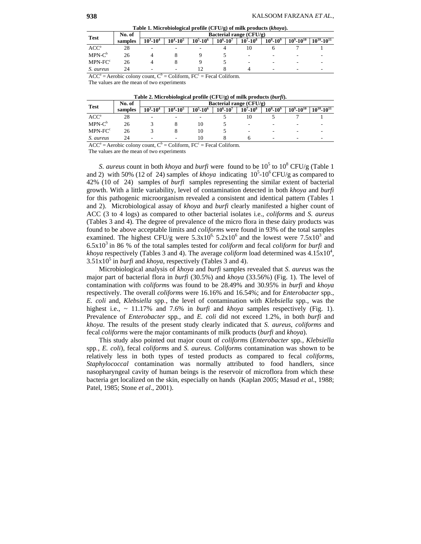**Table 1. Microbiological profile (CFU/g) of milk products (***khoya***).** 

| <b>Test</b>      | No. of  | Bacterial range (CFU/g) |                          |               |               |                   |               |                         |                          |
|------------------|---------|-------------------------|--------------------------|---------------|---------------|-------------------|---------------|-------------------------|--------------------------|
|                  | samples | $10^3 - 10^4$           | $10^4 \!\cdot\! 10^5$    | $10^5 - 10^6$ | $10^6 - 10^7$ | $10^{7} - 10^{8}$ | $10^8 - 10^9$ | $10^9 \text{-} 10^{10}$ | $10^{10} - 10^{11}$      |
| ACC <sup>a</sup> | 28      | ۰                       |                          |               |               |                   |               |                         |                          |
| $MPN-C^b$        | 26      |                         |                          |               |               | -                 | -             |                         |                          |
| $MPN-FCc$        | 26      |                         |                          |               |               | -                 | ۰             | -                       | $\overline{\phantom{a}}$ |
| S. aureus        | 24      | -                       | $\overline{\phantom{a}}$ |               |               |                   | -             | -                       |                          |

 $ACC^a = Aerobic colony count, C^b = Coliform, FC^c = Fecal Coliform.$ 

The values are the mean of two experiments

| Table 2. Microbiological profile $(CFU/g)$ of milk products $(burfi)$ . |                         |                       |               |                                  |                      |               |                  |                     |  |
|-------------------------------------------------------------------------|-------------------------|-----------------------|---------------|----------------------------------|----------------------|---------------|------------------|---------------------|--|
| No. of                                                                  | Bacterial range (CFU/g) |                       |               |                                  |                      |               |                  |                     |  |
| samples                                                                 | $10^3\!\cdot\!10^4$     | $10^4 \!\cdot\! 10^5$ | $10^5 - 10^6$ | $10^6 - 10^7$                    | $10^{7} - 10^{8}$    | $10^8 - 10^9$ | $10^9 - 10^{10}$ | $10^{10} - 10^{11}$ |  |
| 28                                                                      |                         |                       |               |                                  | 10                   |               |                  |                     |  |
| 26                                                                      |                         |                       | 10            |                                  |                      |               |                  |                     |  |
| 26                                                                      |                         |                       | 10            |                                  |                      |               |                  |                     |  |
| 24                                                                      |                         |                       | 10            |                                  |                      |               |                  |                     |  |
|                                                                         | $\cdot$ $\cdot$         | $\sim$ h              | $\sim$ $\sim$ | $-0$<br>$\overline{\phantom{a}}$ | $\sim$ $\sim$ $\sim$ |               |                  |                     |  |

 $ACC^a = Aerobic colony count, C^b = Coliform, FC^c = Fecal Coliform.$ 

The values are the mean of two experiments

*S. aureus* count in both *khoya* and *burfi* were found to be  $10^5$  to  $10^8$  CFU/g (Table 1) and 2) with 50% (12 of 24) samples of *khoya* indicating  $10^5$ -10<sup>6</sup> CFU/g as compared to 42% (10 of 24) samples of *burfi* samples representing the similar extent of bacterial growth. With a little variability, level of contamination detected in both *khoya* and *burfi* for this pathogenic microorganism revealed a consistent and identical pattern (Tables 1 and 2). Microbiological assay of *khoya* and *burfi* clearly manifested a higher count of ACC (3 to 4 logs) as compared to other bacterial isolates i.e., *coliform*s and *S. aureus* (Tables 3 and 4). The degree of prevalence of the micro flora in these dairy products was found to be above acceptable limits and *coliform*s were found in 93% of the total samples examined. The highest CFU/g were  $5.3x10^6$ ,  $5.2x10^6$  and the lowest were  $7.5x10^3$  and 6.5x103 in 86 % of the total samples tested for *coliform* and fecal *coliform* for *burfi* and *khoya* respectively (Tables 3 and 4). The average *coliform* load determined was  $4.15 \times 10^4$ ,  $3.51x10<sup>5</sup>$  in *burfi* and *khoya*, respectively (Tables 3 and 4).

Microbiological analysis of *khoya* and *burfi* samples revealed that *S. aureus* was the major part of bacterial flora in *burfi* (30.5%) and *khoya* (33.56%) (Fig. 1). The level of contamination with *coliform*s was found to be 28.49% and 30.95% in *burfi* and *khoya* respectively. The overall *coliform*s were 16.16% and 16.54%; and for *Enterobacter* spp*.*, *E. coli* and, *Klebsiella* spp*.*, the level of contamination with *Klebsiella* spp*.*, was the highest i.e., ~ 11.17% and 7.6% in *burfi* and *khoya* samples respectively (Fig. 1). Prevalence of *Enterobacter* spp*.*, and *E. coli* did not exceed 1.2%, in both *burfi* and *khoya*. The results of the present study clearly indicated that *S. aureus*, *coliforms* and fecal *coliforms* were the major contaminants of milk products (*burfi* and *khoya*).

This study also pointed out major count of *coliform*s (*Enterobacter* spp*., Klebsiella*  spp*., E. coli*), fecal *coliform*s and *S. aureus. Coliform*s contamination was shown to be relatively less in both types of tested products as compared to fecal *coliform*s, *Staphylococcal* contamination was normally attributed to food handlers, since nasopharyngeal cavity of human beings is the reservoir of microflora from which these bacteria get localized on the skin, especially on hands (Kaplan 2005; Masud *et al*., 1988; Patel, 1985; Stone *et al*., 2001).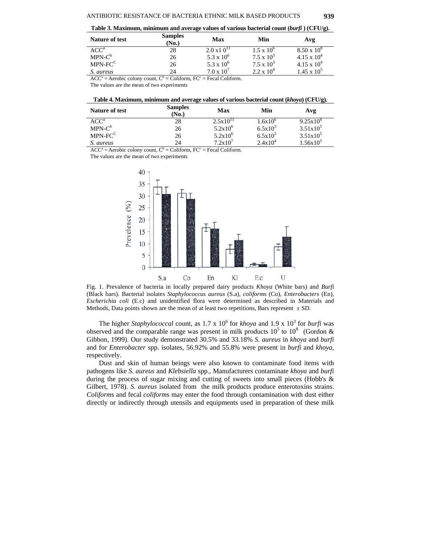**Table 3. Maximum, minimum and average values of various bacterial count (***burfi* **) (CFU/g).** 

| Nature of test      | <b>Samples</b><br>(No.) | Max                  | Min                 | Avg                  |
|---------------------|-------------------------|----------------------|---------------------|----------------------|
| ACC <sup>a</sup>    | 28                      | $2.0 \times 10^{11}$ | $1.5 \times 10^{6}$ | $8.50 \times 10^{8}$ |
| $MPN-C^b$           | 26                      | $5.3 \times 10^{6}$  | $7.5 \times 10^3$   | $4.15 \times 10^{4}$ |
| MPN-FC <sup>C</sup> | 26                      | 5.3 x $10^6$         | $7.5 \times 10^3$   | $4.15 \times 10^{4}$ |
| S. aureus           | 24                      | $7.0 \times 10^{7}$  | $2.2 \times 10^4$   | $1.45 \times 10^{5}$ |

 $ACC^a = Aerobic colony count, C^b = Coliform, FC^c = Fecal Coliform.$ 

The values are the mean of two experiments

| Nature of test      | <b>Samples</b><br>(No.) | <b>Max</b>    | Min              | Avg                |
|---------------------|-------------------------|---------------|------------------|--------------------|
| ACC <sup>a</sup>    | 28                      | $2.5x10^{11}$ | $1.6x10^{\circ}$ | $9.25 \times 10^8$ |
| $MPN-C^b$           | 26                      | $5.2x10^{6}$  | $6.5x10^{3}$     | $3.51x10^5$        |
| MPN-FC <sup>C</sup> | 26                      | $5.2x10^6$    | $6.5x10^{3}$     | $3.51x10^5$        |
| S. aureus           | 24                      | $7.2x10^7$    | $2.4x10^4$       | $1.56x10^{5}$      |

 $ACC^a = Aerobic colony count, C^b = Coliform, FC^c = Fecal Coliform.$ 

The values are the mean of two experiments



Fig. 1. Prevalence of bacteria in locally prepared dairy products *Khoya* (White bars) and *Burfi* (Black bars). Bacterial isolates *Staphylococcus aureus* (S.a), *coliform*s (Co), *Enterobacters* (En), *Escherichia coli* (E.c) and unidentified flora were determined as described in Materials and Methods, Data points shown are the mean of at least two repetitions, Bars represent  $\pm$  SD.

The higher *Staphylococcal* count, as  $1.7 \times 10^6$  for *khoya* and  $1.9 \times 10^3$  for *burfi* was observed and the comparable range was present in milk products  $10^5$  to  $10^8$ . (Gordon & Gibbon, 1999). Our study demonstrated 30.5% and 33.18% *S. aureus* in *khoya* and *burfi* and for *Enterobacter* spp. isolates, 56.92% and 55.8% were present in *burfi* and *khoya*, respectively.

Dust and skin of human beings were also known to contaminate food items with pathogens like *S. aureus* and *Klebsiella* spp*.,* Manufacturers contaminate *khoya* and *burfi* during the process of sugar mixing and cutting of sweets into small pieces (Hobb's & Gilbert, 1978). *S. aureus* isolated from the milk products produce enterotoxins strains. *Coliform*s and fecal *coliform*s may enter the food through contamination with dust either directly or indirectly through utensils and equipments used in preparation of these milk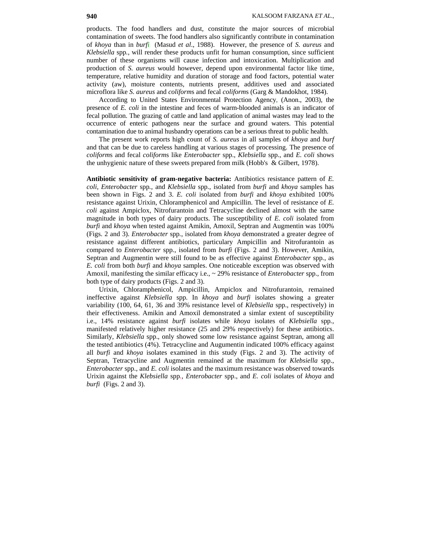products. The food handlers and dust, constitute the major sources of microbial contamination of sweets. The food handlers also significantly contribute in contamination of *khoya* than in *burfi* (Masud *et al*., 1988). However, the presence of *S. aureus* and *Klebsiella* spp*.*, will render these products unfit for human consumption, since sufficient number of these organisms will cause infection and intoxication. Multiplication and production of *S. aureus* would however, depend upon environmental factor like time, temperature, relative humidity and duration of storage and food factors, potential water activity (aw), moisture contents, nutrients present, additives used and associated microflora like *S. aureus* and *coliform*s and fecal *coliform*s (Garg & Mandokhot, 1984).

According to United States Environmental Protection Agency, (Anon., 2003), the presence of *E. coli* in the intestine and feces of warm-blooded animals is an indicator of fecal pollution. The grazing of cattle and land application of animal wastes may lead to the occurrence of enteric pathogens near the surface and ground waters. This potential contamination due to animal husbandry operations can be a serious threat to public health.

The present work reports high count of *S. aureus* in all samples of *khoya* and *burf*  and that can be due to careless handling at various stages of processing. The presence of *coliform*s and fecal *coliform*s like *Enterobacter* spp., *Klebsiella* spp., and *E. coli* shows the unhygienic nature of these sweets prepared from milk (Hobb's & Gilbert, 1978).

**Antibiotic sensitivity of gram-negative bacteria:** Antibiotics resistance pattern of *E. coli*, *Enterobacter* spp*.*, and *Klebsiella* spp*.*, isolated from *burfi* and *khoya* samples has been shown in Figs. 2 and 3. *E. coli* isolated from *burfi* and *khoya* exhibited 100% resistance against Urixin, Chloramphenicol and Ampicillin. The level of resistance of *E. coli* against Ampiclox, Nitrofurantoin and Tetracycline declined almost with the same magnitude in both types of dairy products. The susceptibility of *E. coli* isolated from *burfi* and *khoya* when tested against Amikin, Amoxil, Septran and Augmentin was 100% (Figs. 2 and 3). *Enterobacter* spp*.*, isolated from *khoya* demonstrated a greater degree of resistance against different antibiotics, particulary Ampicillin and Nitrofurantoin as compared to *Enterobacter* spp*.*, isolated from *burfi* (Figs. 2 and 3). However, Amikin, Septran and Augmentin were still found to be as effective against *Enterobacter* spp*.*, as *E. coli* from both *burfi* and *khoya* samples. One noticeable exception was observed with Amoxil, manifesting the similar efficacy i.e., ~ 29% resistance of *Enterobacter* spp., from both type of dairy products (Figs. 2 and 3).

Urixin, Chloramphenicol, Ampicillin, Ampiclox and Nitrofurantoin, remained ineffective against *Klebsiella* spp. In *khoya* and *burfi* isolates showing a greater variability (100, 64, 61, 36 and 39% resistance level of *Klebsiella* spp., respectively) in their effectiveness. Amikin and Amoxil demonstrated a simlar extent of susceptibility i.e., 14% resistance against *burfi* isolates while *khoya* isolates of *Klebsiella* spp*.*, manifested relatively higher resistance (25 and 29% respectively) for these antibiotics. Similarly, *Klebsiella* spp., only showed some low resistance against Septran, among all the tested antibiotics (4%). Tetracycline and Augumentin indicated 100% efficacy against all *burfi* and *khoya* isolates examined in this study (Figs. 2 and 3). The activity of Septran, Tetracycline and Augmentin remained at the maximum for *Klebsiella* spp., *Enterobacter* spp., and *E. coli* isolates and the maximum resistance was observed towards Urixin against the *Klebsiella* spp*., Enterobacter* spp., and *E. coli* isolates of *khoya* and *burfi* (Figs. 2 and 3).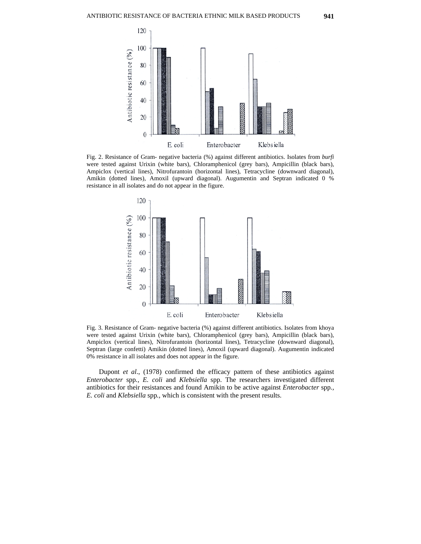

Fig. 2. Resistance of Gram- negative bacteria (%) against different antibiotics. Isolates from *burfi* were tested against Urixin (white bars), Chloramphenicol (grey bars), Ampicillin (black bars), Ampiclox (vertical lines), Nitrofurantoin (horizontal lines), Tetracycline (downward diagonal), Amikin (dotted lines), Amoxil (upward diagonal). Augumentin and Septran indicated 0 % resistance in all isolates and do not appear in the figure.



Fig. 3. Resistance of Gram- negative bacteria (%) against different antibiotics. Isolates from khoya were tested against Urixin (white bars), Chloramphenicol (grey bars), Ampicillin (black bars), Ampiclox (vertical lines), Nitrofurantoin (horizontal lines), Tetracycline (downward diagonal), Septran (large confetti) Amikin (dotted lines), Amoxil (upward diagonal). Augumentin indicated 0% resistance in all isolates and does not appear in the figure.

Dupont *et al*., (1978) confirmed the efficacy pattern of these antibiotics against *Enterobacter* spp*., E. coli* and *Klebsiella* spp. The researchers investigated different antibiotics for their resistances and found Amikin to be active against *Enterobacter* spp*., E. coli* and *Klebsiella* spp*.,* which is consistent with the present results.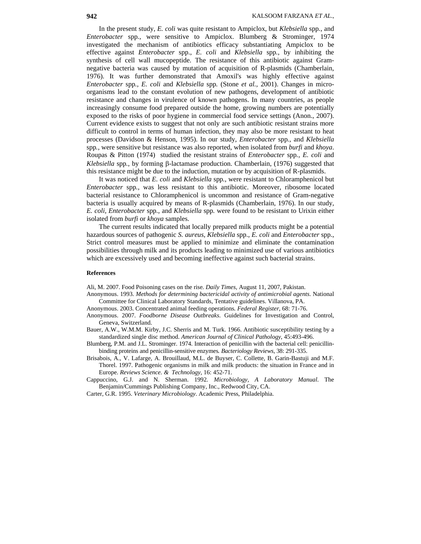In the present study, *E. coli* was quite resistant to Ampiclox, but *Klebsiella* spp*.*, and *Enterobacter* spp*.*, were sensitive to Ampiclox. Blumberg & Strominger, 1974 investigated the mechanism of antibiotics efficacy substantiating Ampiclox to be effective against *Enterobacter* spp., *E. coli* and *Klebsiella* spp*.*, by inhibiting the synthesis of cell wall mucopeptide. The resistance of this antibiotic against Gramnegative bacteria was caused by mutation of acquisition of R-plasmids (Chamberlain, 1976). It was further demonstrated that Amoxil's was highly effective against *Enterobacter* spp*., E. coli* and *Klebsiella* spp*.* (Stone *et al.,* 2001). Changes in microorganisms lead to the constant evolution of new pathogens, development of antibiotic resistance and changes in virulence of known pathogens. In many countries, as people increasingly consume food prepared outside the home, growing numbers are potentially exposed to the risks of poor hygiene in commercial food service settings (Anon., 2007). Current evidence exists to suggest that not only are such antibiotic resistant strains more difficult to control in terms of human infection, they may also be more resistant to heat processes (Davidson & Henson, 1995). In our study, *Enterobacter* spp*.*, and *Klebsiella*  spp*.*, were sensitive but resistance was also reported, when isolated from *burfi* and *khoya*. Roupas & Pitton (1974) studied the resistant strains of *Enterobacter* spp*., E. coli* and *Klebsiella* spp*.*, by forming β-lactamase production. Chamberlain, (1976) suggested that this resistance might be due to the induction, mutation or by acquisition of R-plasmids.

It was noticed that *E. coli* and *Klebsiella* spp*.*, were resistant to Chloramphenicol but *Enterobacter* spp*.*, was less resistant to this antibiotic. Moreover, ribosome located bacterial resistance to Chloramphenicol is uncommon and resistance of Gram-negative bacteria is usually acquired by means of R-plasmids (Chamberlain, 1976). In our study, *E. coli, Enterobacter* spp*.*, and *Klebsiella* spp*.* were found to be resistant to Urixin either isolated from *burfi* or *khoya* samples.

The current results indicated that locally prepared milk products might be a potential hazardous sources of pathogenic *S. aureus*, *Klebsiella* spp., *E. coli* and *Enterobacter* spp., Strict control measures must be applied to minimize and eliminate the contamination possibilities through milk and its products leading to minimized use of various antibiotics which are excessively used and becoming ineffective against such bacterial strains.

#### **References**

Ali, M. 2007. Food Poisoning cases on the rise*. Daily Times,* August 11, 2007, Pakistan.

- Anonymous. 1993. *Methods for determining bactericidal activity of antimicrobial agents*. National Committee for Clinical Laboratory Standards, Tentative guidelines. Villanova, PA.
- Anonymous. 2003. Concentrated animal feeding operations*. Federal Register,* 68: 71-76.
- Anonymous. 2007. *Foodborne Disease Outbreaks*. Guidelines for Investigation and Control, Geneva, Switzerland.
- Bauer, A.W., W.M.M. Kirby, J.C. Sherris and M. Turk. 1966. Antibiotic susceptibility testing by a standardized single disc method. *American Journal of Clinical Pathology*, 45:493-496.
- Blumberg, P.M. and J.L. Strominger. 1974. Interaction of penicillin with the bacterial cell: penicillinbinding proteins and penicillin-sensitive enzymes*. Bacteriology Reviews,* 38: 291-335.
- Brisabois, A., V. Lafarge, A. Brouillaud, M.L. de Buyser, C. Collette, B. Garin-Bastuji and M.F. Thorel. 1997. Pathogenic organisms in milk and milk products: the situation in France and in Europe*. Reviews Science. & Technology,* 16: 452-71.
- Cappuccino, G.J. and N. Sherman. 1992. *Microbiology, A Laboratory Manual*. The Benjamin/Cummings Publishing Company, Inc., Redwood City, CA.

Carter, G.R. 1995. *Veterinary Microbiology*. Academic Press, Philadelphia.